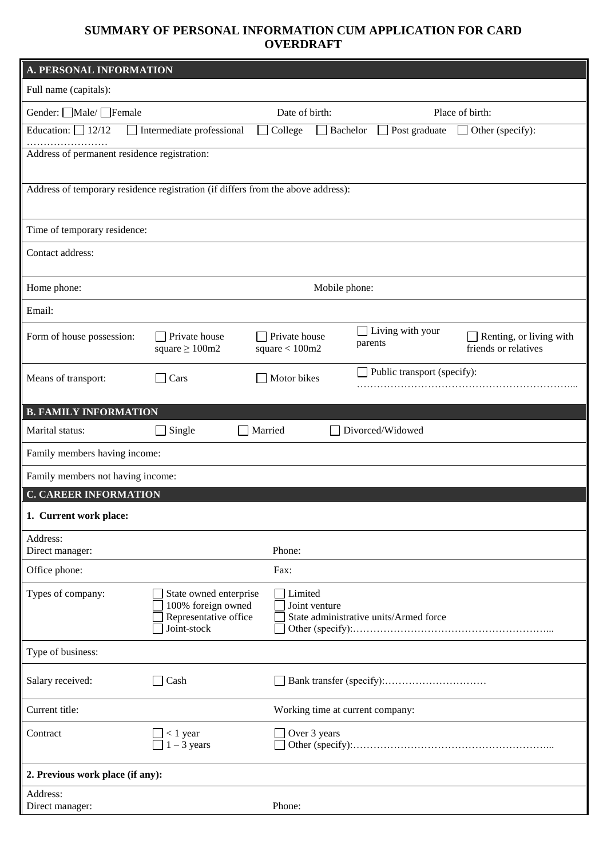## **SUMMARY OF PERSONAL INFORMATION CUM APPLICATION FOR CARD OVERDRAFT**

| <b>A. PERSONAL INFORMATION</b>                                                   |                                                                                      |                                  |                                                         |                                    |                                                 |  |
|----------------------------------------------------------------------------------|--------------------------------------------------------------------------------------|----------------------------------|---------------------------------------------------------|------------------------------------|-------------------------------------------------|--|
| Full name (capitals):                                                            |                                                                                      |                                  |                                                         |                                    |                                                 |  |
| Gender: <u>□</u> Male/ □Female                                                   |                                                                                      |                                  | Date of birth:                                          |                                    | Place of birth:                                 |  |
| Education: $\Box$ 12/12                                                          | Intermediate professional                                                            | College                          | Bachelor                                                | Post graduate                      | Other (specify):                                |  |
| Address of permanent residence registration:                                     |                                                                                      |                                  |                                                         |                                    |                                                 |  |
|                                                                                  |                                                                                      |                                  |                                                         |                                    |                                                 |  |
| Address of temporary residence registration (if differs from the above address): |                                                                                      |                                  |                                                         |                                    |                                                 |  |
| Time of temporary residence:                                                     |                                                                                      |                                  |                                                         |                                    |                                                 |  |
| Contact address:                                                                 |                                                                                      |                                  |                                                         |                                    |                                                 |  |
|                                                                                  |                                                                                      |                                  |                                                         |                                    |                                                 |  |
| Home phone:                                                                      |                                                                                      |                                  | Mobile phone:                                           |                                    |                                                 |  |
| Email:                                                                           |                                                                                      |                                  |                                                         |                                    |                                                 |  |
| Form of house possession:                                                        | Private house<br>square $\geq 100$ m2                                                | Private house<br>square $<100m2$ |                                                         | $\Box$ Living with your<br>parents | Renting, or living with<br>friends or relatives |  |
| Means of transport:                                                              | Cars                                                                                 | Motor bikes                      |                                                         | $\Box$ Public transport (specify): |                                                 |  |
| <b>B. FAMILY INFORMATION</b>                                                     |                                                                                      |                                  |                                                         |                                    |                                                 |  |
| Marital status:                                                                  | Single                                                                               | Married                          |                                                         | Divorced/Widowed                   |                                                 |  |
| Family members having income:                                                    |                                                                                      |                                  |                                                         |                                    |                                                 |  |
| Family members not having income:                                                |                                                                                      |                                  |                                                         |                                    |                                                 |  |
| <b>C. CAREER INFORMATION</b>                                                     |                                                                                      |                                  |                                                         |                                    |                                                 |  |
| 1. Current work place:                                                           |                                                                                      |                                  |                                                         |                                    |                                                 |  |
| Address:<br>Direct manager:                                                      |                                                                                      | Phone:                           |                                                         |                                    |                                                 |  |
| Office phone:                                                                    |                                                                                      | Fax:                             |                                                         |                                    |                                                 |  |
| Types of company:                                                                | State owned enterprise<br>100% foreign owned<br>Representative office<br>Joint-stock | Limited                          | Joint venture<br>State administrative units/Armed force |                                    |                                                 |  |
| Type of business:                                                                |                                                                                      |                                  |                                                         |                                    |                                                 |  |
| Salary received:                                                                 | Cash                                                                                 |                                  |                                                         |                                    |                                                 |  |
| Current title:                                                                   |                                                                                      | Working time at current company: |                                                         |                                    |                                                 |  |
| Contract                                                                         | $< 1$ year<br>$1 - 3$ years                                                          | Over 3 years                     |                                                         |                                    |                                                 |  |
| 2. Previous work place (if any):                                                 |                                                                                      |                                  |                                                         |                                    |                                                 |  |
| Address:<br>Direct manager:                                                      |                                                                                      | Phone:                           |                                                         |                                    |                                                 |  |